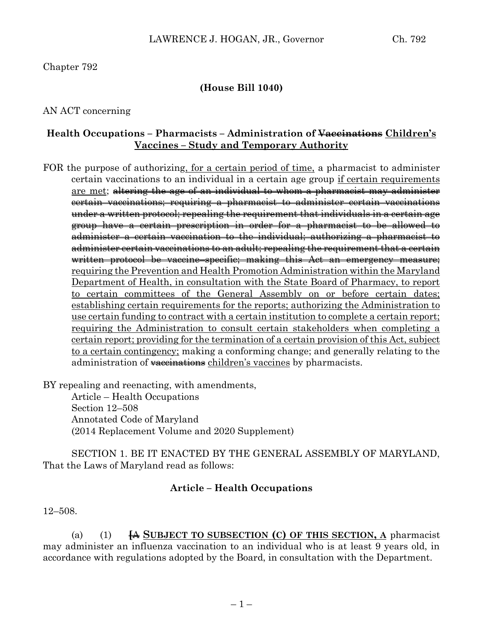### Chapter 792

### **(House Bill 1040)**

#### AN ACT concerning

#### **Health Occupations – Pharmacists – Administration of Vaccinations Children's Vaccines – Study and Temporary Authority**

FOR the purpose of authorizing, for a certain period of time, a pharmacist to administer certain vaccinations to an individual in a certain age group if certain requirements are met; altering the age of an individual to whom a pharmacist may administer certain vaccinations; requiring a pharmacist to administer certain vaccinations under a written protocol; repealing the requirement that individuals in a certain age group have a certain prescription in order for a pharmacist to be allowed to administer a certain vaccination to the individual; authorizing a pharmacist to administer certain vaccinations to an adult; repealing the requirement that a certain written protocol be vaccine–specific; making this Act an emergency measure; requiring the Prevention and Health Promotion Administration within the Maryland Department of Health, in consultation with the State Board of Pharmacy, to report to certain committees of the General Assembly on or before certain dates; establishing certain requirements for the reports; authorizing the Administration to use certain funding to contract with a certain institution to complete a certain report; requiring the Administration to consult certain stakeholders when completing a certain report; providing for the termination of a certain provision of this Act, subject to a certain contingency; making a conforming change; and generally relating to the administration of vaccinations children's vaccines by pharmacists.

BY repealing and reenacting, with amendments,

Article – Health Occupations Section 12–508 Annotated Code of Maryland (2014 Replacement Volume and 2020 Supplement)

SECTION 1. BE IT ENACTED BY THE GENERAL ASSEMBLY OF MARYLAND, That the Laws of Maryland read as follows:

#### **Article – Health Occupations**

#### 12–508.

(a) (1) **[**A **SUBJECT TO SUBSECTION (C) OF THIS SECTION, A** pharmacist may administer an influenza vaccination to an individual who is at least 9 years old, in accordance with regulations adopted by the Board, in consultation with the Department.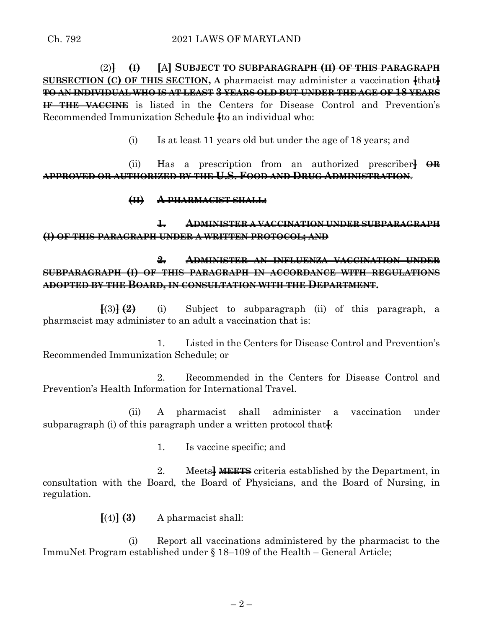(2)**] (I) [**A**] SUBJECT TO SUBPARAGRAPH (II) OF THIS PARAGRAPH SUBSECTION (C) OF THIS SECTION, A** pharmacist may administer a vaccination **[**that**] TO AN INDIVIDUAL WHO IS AT LEAST 3 YEARS OLD BUT UNDER THE AGE OF 18 YEARS IF THE VACCINE** is listed in the Centers for Disease Control and Prevention's Recommended Immunization Schedule **[**to an individual who:

(i) Is at least 11 years old but under the age of 18 years; and

(ii) Has a prescription from an authorized prescriber**] OR APPROVED OR AUTHORIZED BY THE U.S. FOOD AND DRUG ADMINISTRATION**.

#### **(II) A PHARMACIST SHALL:**

**1. ADMINISTER A VACCINATION UNDER SUBPARAGRAPH (I) OF THIS PARAGRAPH UNDER A WRITTEN PROTOCOL; AND**

**2. ADMINISTER AN INFLUENZA VACCINATION UNDER SUBPARAGRAPH (I) OF THIS PARAGRAPH IN ACCORDANCE WITH REGULATIONS ADOPTED BY THE BOARD, IN CONSULTATION WITH THE DEPARTMENT.**

**[**(3)**] (2)** (i) Subject to subparagraph (ii) of this paragraph, a pharmacist may administer to an adult a vaccination that is:

1. Listed in the Centers for Disease Control and Prevention's Recommended Immunization Schedule; or

2. Recommended in the Centers for Disease Control and Prevention's Health Information for International Travel.

(ii) A pharmacist shall administer a vaccination under subparagraph (i) of this paragraph under a written protocol that.

1. Is vaccine specific; and

2. Meets**] MEETS** criteria established by the Department, in consultation with the Board, the Board of Physicians, and the Board of Nursing, in regulation.

 $\{(4)$  $\{(4)$   $\{(3)$  A pharmacist shall:

(i) Report all vaccinations administered by the pharmacist to the ImmuNet Program established under § 18–109 of the Health – General Article;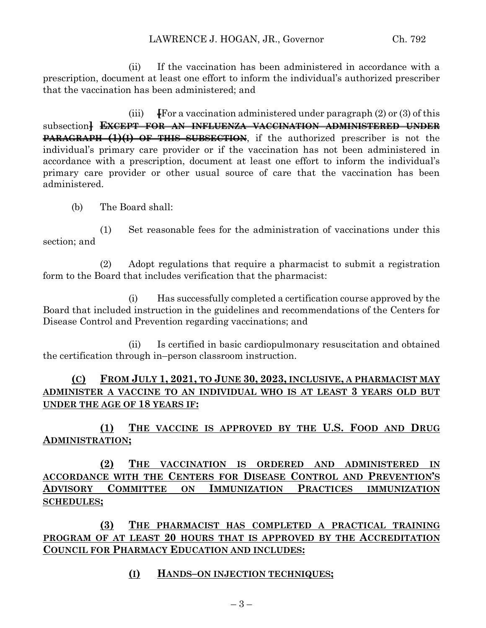(ii) If the vaccination has been administered in accordance with a prescription, document at least one effort to inform the individual's authorized prescriber that the vaccination has been administered; and

(iii) **[**For a vaccination administered under paragraph (2) or (3) of this subsection**] EXCEPT FOR AN INFLUENZA VACCINATION ADMINISTERED UNDER PARAGRAPH (1)(I) OF THIS SUBSECTION,** if the authorized prescriber is not the individual's primary care provider or if the vaccination has not been administered in accordance with a prescription, document at least one effort to inform the individual's primary care provider or other usual source of care that the vaccination has been administered.

(b) The Board shall:

(1) Set reasonable fees for the administration of vaccinations under this section; and

(2) Adopt regulations that require a pharmacist to submit a registration form to the Board that includes verification that the pharmacist:

(i) Has successfully completed a certification course approved by the Board that included instruction in the guidelines and recommendations of the Centers for Disease Control and Prevention regarding vaccinations; and

(ii) Is certified in basic cardiopulmonary resuscitation and obtained the certification through in–person classroom instruction.

# **(C) FROM JULY 1, 2021, TO JUNE 30, 2023, INCLUSIVE, A PHARMACIST MAY ADMINISTER A VACCINE TO AN INDIVIDUAL WHO IS AT LEAST 3 YEARS OLD BUT UNDER THE AGE OF 18 YEARS IF:**

**(1) THE VACCINE IS APPROVED BY THE U.S. FOOD AND DRUG ADMINISTRATION;**

**(2) THE VACCINATION IS ORDERED AND ADMINISTERED IN ACCORDANCE WITH THE CENTERS FOR DISEASE CONTROL AND PREVENTION'S ADVISORY COMMITTEE ON IMMUNIZATION PRACTICES IMMUNIZATION SCHEDULES;**

**(3) THE PHARMACIST HAS COMPLETED A PRACTICAL TRAINING PROGRAM OF AT LEAST 20 HOURS THAT IS APPROVED BY THE ACCREDITATION COUNCIL FOR PHARMACY EDUCATION AND INCLUDES:**

#### **(I) HANDS–ON INJECTION TECHNIQUES;**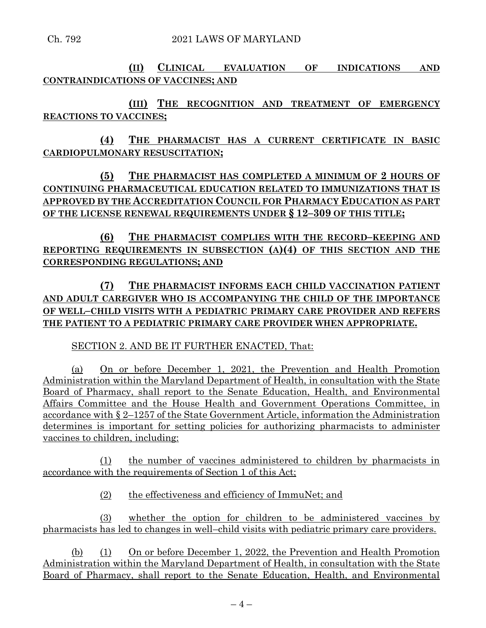**(II) CLINICAL EVALUATION OF INDICATIONS AND CONTRAINDICATIONS OF VACCINES; AND**

**(III) THE RECOGNITION AND TREATMENT OF EMERGENCY REACTIONS TO VACCINES;**

**(4) THE PHARMACIST HAS A CURRENT CERTIFICATE IN BASIC CARDIOPULMONARY RESUSCITATION;**

**(5) THE PHARMACIST HAS COMPLETED A MINIMUM OF 2 HOURS OF CONTINUING PHARMACEUTICAL EDUCATION RELATED TO IMMUNIZATIONS THAT IS APPROVED BY THE ACCREDITATION COUNCIL FOR PHARMACY EDUCATION AS PART OF THE LICENSE RENEWAL REQUIREMENTS UNDER § 12–309 OF THIS TITLE;**

**(6) THE PHARMACIST COMPLIES WITH THE RECORD–KEEPING AND REPORTING REQUIREMENTS IN SUBSECTION (A)(4) OF THIS SECTION AND THE CORRESPONDING REGULATIONS; AND**

**(7) THE PHARMACIST INFORMS EACH CHILD VACCINATION PATIENT AND ADULT CAREGIVER WHO IS ACCOMPANYING THE CHILD OF THE IMPORTANCE OF WELL–CHILD VISITS WITH A PEDIATRIC PRIMARY CARE PROVIDER AND REFERS THE PATIENT TO A PEDIATRIC PRIMARY CARE PROVIDER WHEN APPROPRIATE.**

SECTION 2. AND BE IT FURTHER ENACTED, That:

(a) On or before December 1, 2021, the Prevention and Health Promotion Administration within the Maryland Department of Health, in consultation with the State Board of Pharmacy, shall report to the Senate Education, Health, and Environmental Affairs Committee and the House Health and Government Operations Committee, in accordance with § 2–1257 of the State Government Article, information the Administration determines is important for setting policies for authorizing pharmacists to administer vaccines to children, including:

(1) the number of vaccines administered to children by pharmacists in accordance with the requirements of Section 1 of this Act;

(2) the effectiveness and efficiency of ImmuNet; and

(3) whether the option for children to be administered vaccines by pharmacists has led to changes in well–child visits with pediatric primary care providers.

(b) (1) On or before December 1, 2022, the Prevention and Health Promotion Administration within the Maryland Department of Health, in consultation with the State Board of Pharmacy, shall report to the Senate Education, Health, and Environmental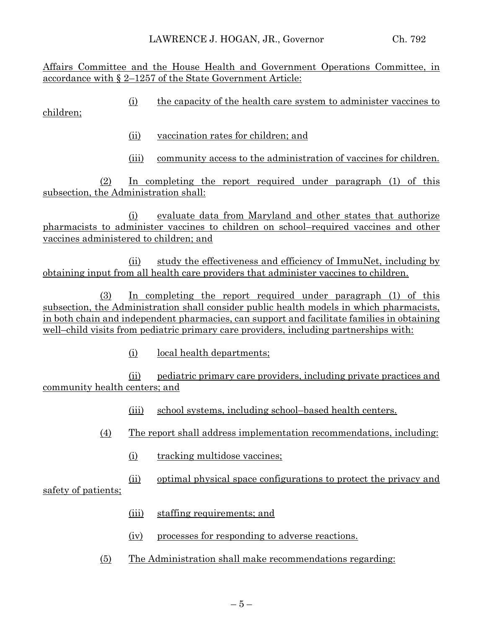Affairs Committee and the House Health and Government Operations Committee, in accordance with § 2–1257 of the State Government Article:

(i) the capacity of the health care system to administer vaccines to children;

- (ii) vaccination rates for children; and
- (iii) community access to the administration of vaccines for children.

(2) In completing the report required under paragraph (1) of this subsection, the Administration shall:

(i) evaluate data from Maryland and other states that authorize pharmacists to administer vaccines to children on school–required vaccines and other vaccines administered to children; and

(ii) study the effectiveness and efficiency of ImmuNet, including by obtaining input from all health care providers that administer vaccines to children.

(3) In completing the report required under paragraph (1) of this subsection, the Administration shall consider public health models in which pharmacists, in both chain and independent pharmacies, can support and facilitate families in obtaining well–child visits from pediatric primary care providers, including partnerships with:

(i) local health departments;

(ii) pediatric primary care providers, including private practices and community health centers; and

- (iii) school systems, including school–based health centers.
- (4) The report shall address implementation recommendations, including:
	- (i) tracking multidose vaccines;
	- (ii) optimal physical space configurations to protect the privacy and

safety of patients;

- (iii) staffing requirements; and
- (iv) processes for responding to adverse reactions.
- (5) The Administration shall make recommendations regarding: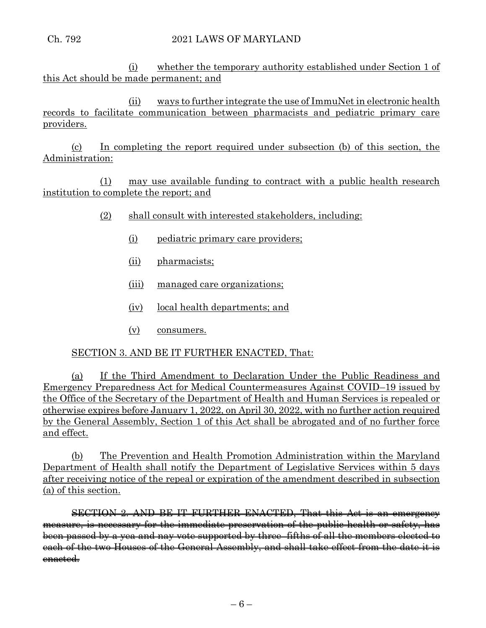(i) whether the temporary authority established under Section 1 of this Act should be made permanent; and

(ii) ways to further integrate the use of ImmuNet in electronic health records to facilitate communication between pharmacists and pediatric primary care providers.

(c) In completing the report required under subsection (b) of this section, the Administration:

(1) may use available funding to contract with a public health research institution to complete the report; and

- (2) shall consult with interested stakeholders, including:
	- (i) pediatric primary care providers;
	- (ii) pharmacists;
	- (iii) managed care organizations;
	- (iv) local health departments; and
	- (v) consumers.

## SECTION 3. AND BE IT FURTHER ENACTED, That:

(a) If the Third Amendment to Declaration Under the Public Readiness and Emergency Preparedness Act for Medical Countermeasures Against COVID–19 issued by the Office of the Secretary of the Department of Health and Human Services is repealed or otherwise expires before January 1, 2022, on April 30, 2022, with no further action required by the General Assembly, Section 1 of this Act shall be abrogated and of no further force and effect.

(b) The Prevention and Health Promotion Administration within the Maryland Department of Health shall notify the Department of Legislative Services within 5 days after receiving notice of the repeal or expiration of the amendment described in subsection (a) of this section.

SECTION 2. AND BE IT FURTHER ENACTED, That this Act is an emergency measure, is necessary for the immediate preservation of the public health or safety, has been passed by a yea and nay vote supported by three–fifths of all the members elected to each of the two Houses of the General Assembly, and shall take effect from the date it is enacted.